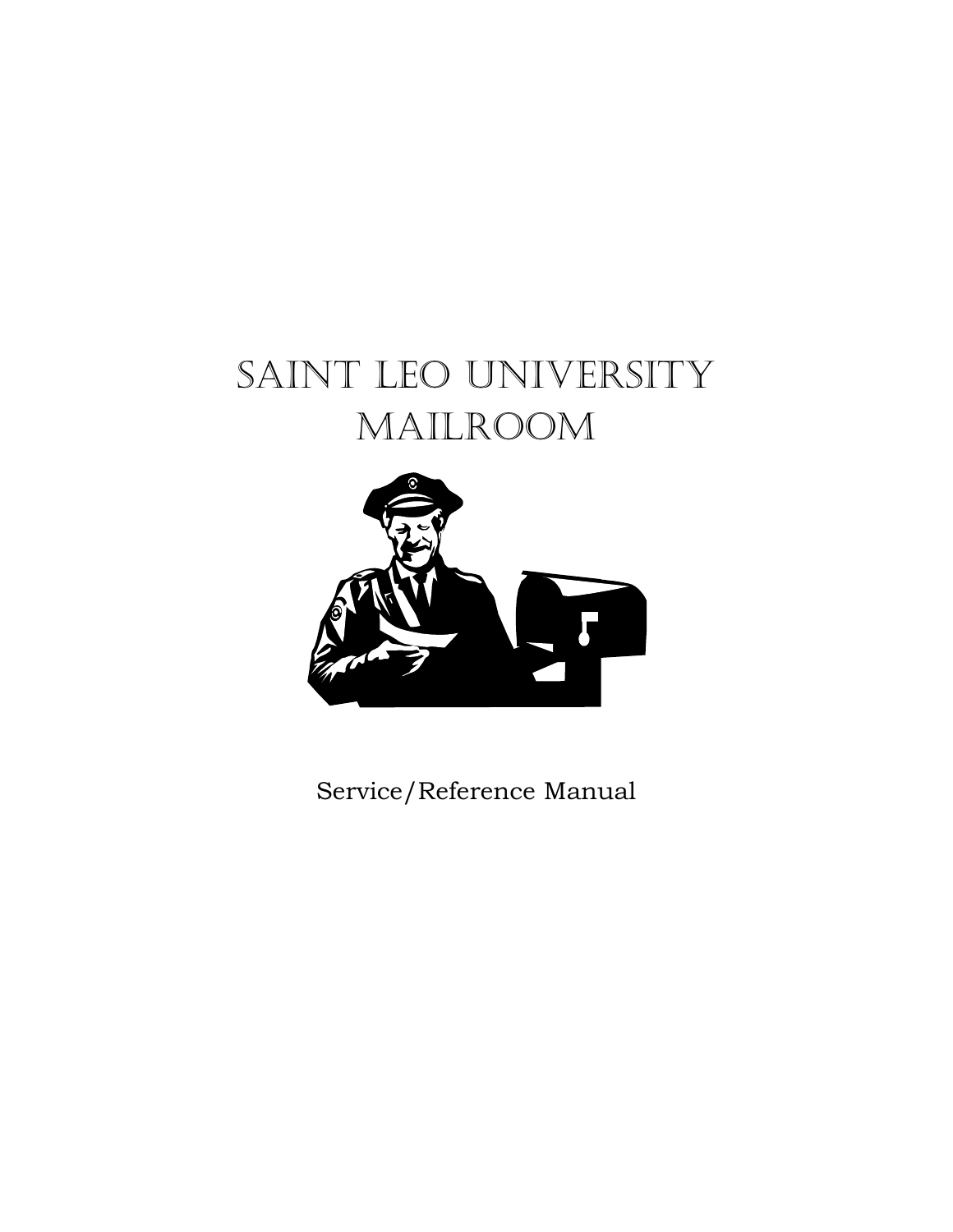# SAINT LEO UNIVERSITY Mailroom



Service/Reference Manual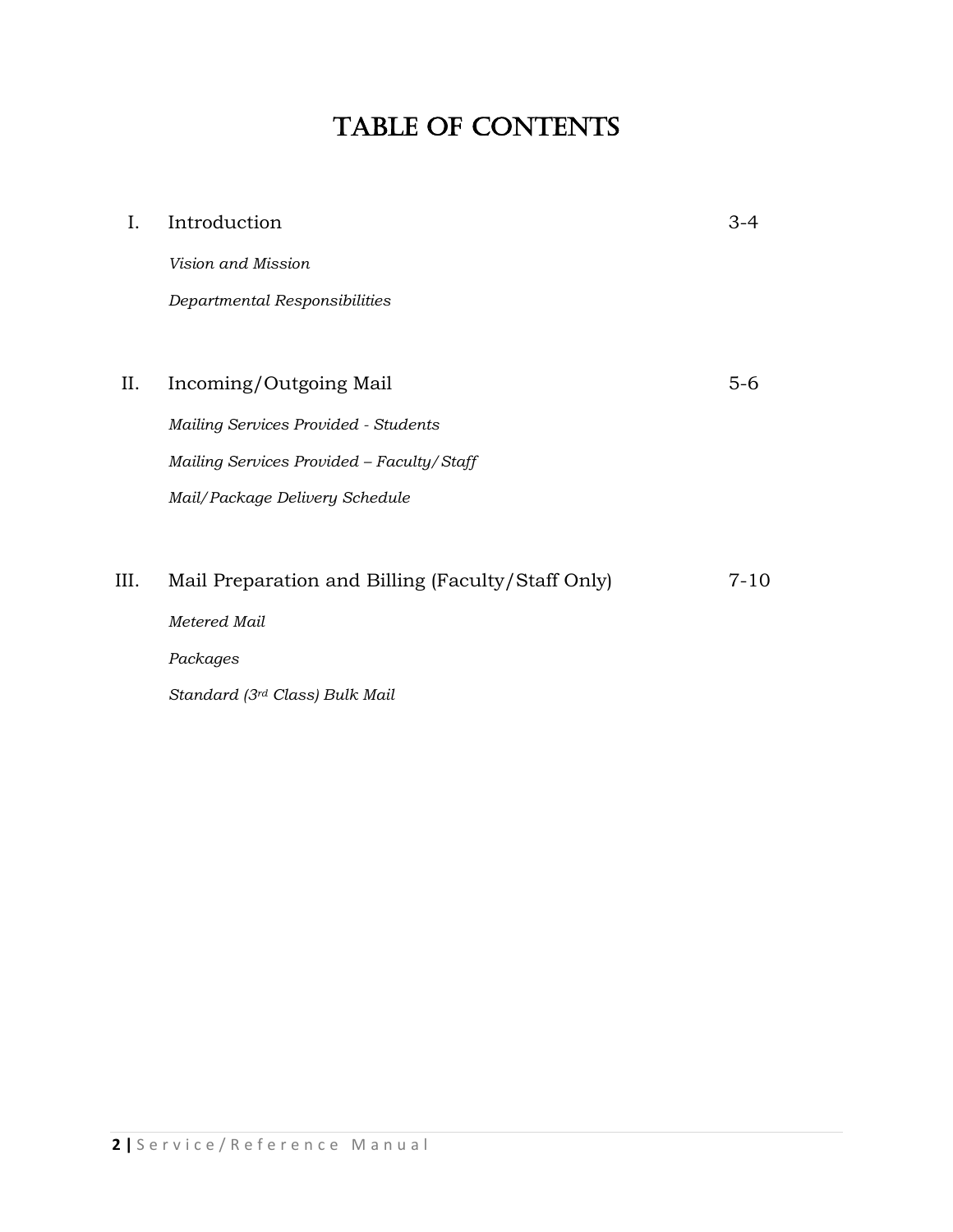# TABLE OF CONTENTS

| Ι. | Introduction                                      |      |
|----|---------------------------------------------------|------|
|    | Vision and Mission                                |      |
|    | Departmental Responsibilities                     |      |
|    |                                                   |      |
| Ш. | Incoming/Outgoing Mail                            | 5-6  |
|    | Mailing Services Provided - Students              |      |
|    | Mailing Services Provided - Faculty/Staff         |      |
|    | Mail/Package Delivery Schedule                    |      |
|    |                                                   |      |
| Ш. | Mail Preparation and Billing (Faculty/Staff Only) | 7-10 |
|    | Metered Mail                                      |      |

*Packages*

*Standard (3rd Class) Bulk Mail*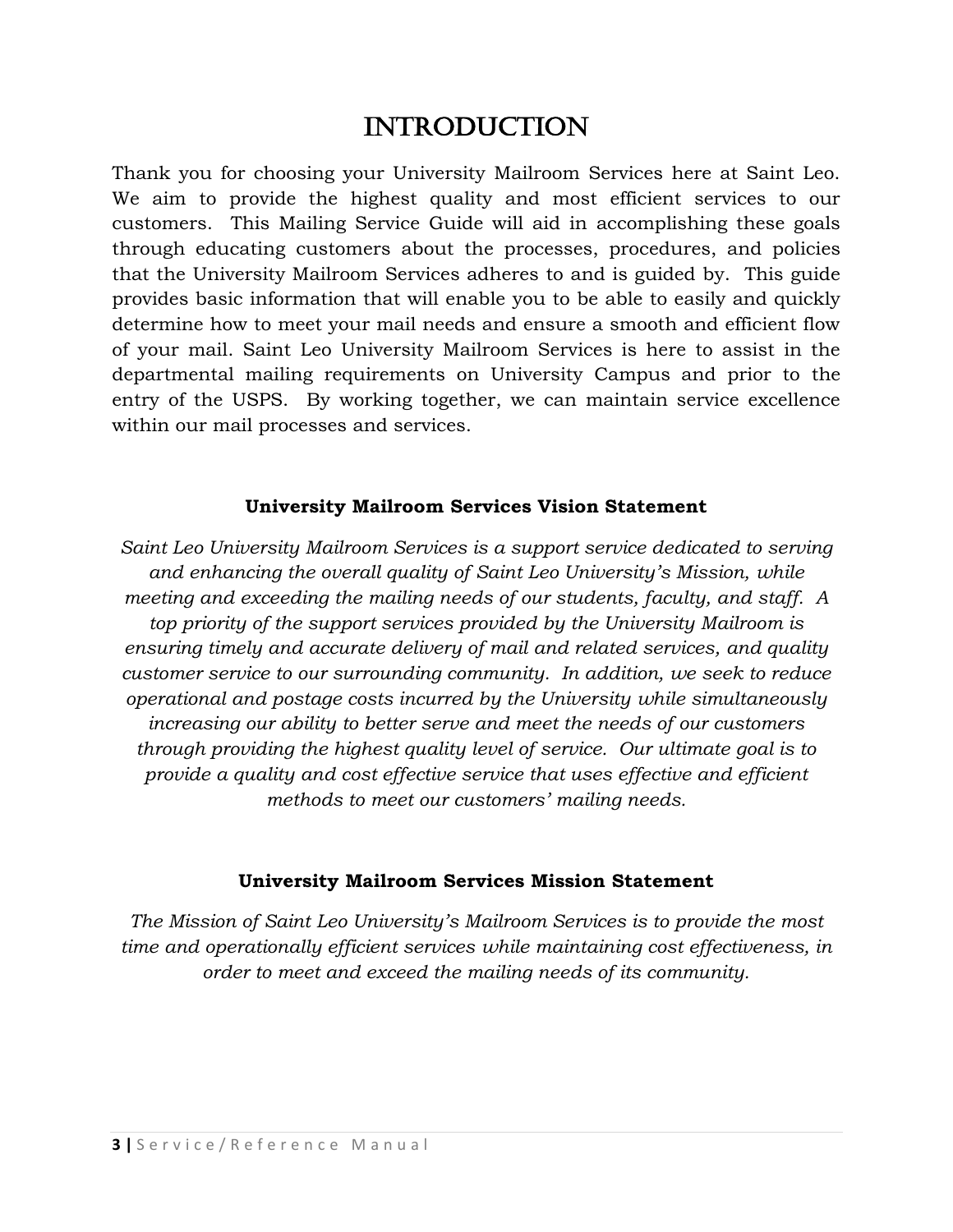# **INTRODUCTION**

Thank you for choosing your University Mailroom Services here at Saint Leo. We aim to provide the highest quality and most efficient services to our customers. This Mailing Service Guide will aid in accomplishing these goals through educating customers about the processes, procedures, and policies that the University Mailroom Services adheres to and is guided by. This guide provides basic information that will enable you to be able to easily and quickly determine how to meet your mail needs and ensure a smooth and efficient flow of your mail. Saint Leo University Mailroom Services is here to assist in the departmental mailing requirements on University Campus and prior to the entry of the USPS. By working together, we can maintain service excellence within our mail processes and services.

#### **University Mailroom Services Vision Statement**

*Saint Leo University Mailroom Services is a support service dedicated to serving and enhancing the overall quality of Saint Leo University's Mission, while meeting and exceeding the mailing needs of our students, faculty, and staff. A top priority of the support services provided by the University Mailroom is ensuring timely and accurate delivery of mail and related services, and quality customer service to our surrounding community. In addition, we seek to reduce operational and postage costs incurred by the University while simultaneously increasing our ability to better serve and meet the needs of our customers through providing the highest quality level of service. Our ultimate goal is to provide a quality and cost effective service that uses effective and efficient methods to meet our customers' mailing needs.* 

#### **University Mailroom Services Mission Statement**

*The Mission of Saint Leo University's Mailroom Services is to provide the most time and operationally efficient services while maintaining cost effectiveness, in order to meet and exceed the mailing needs of its community.*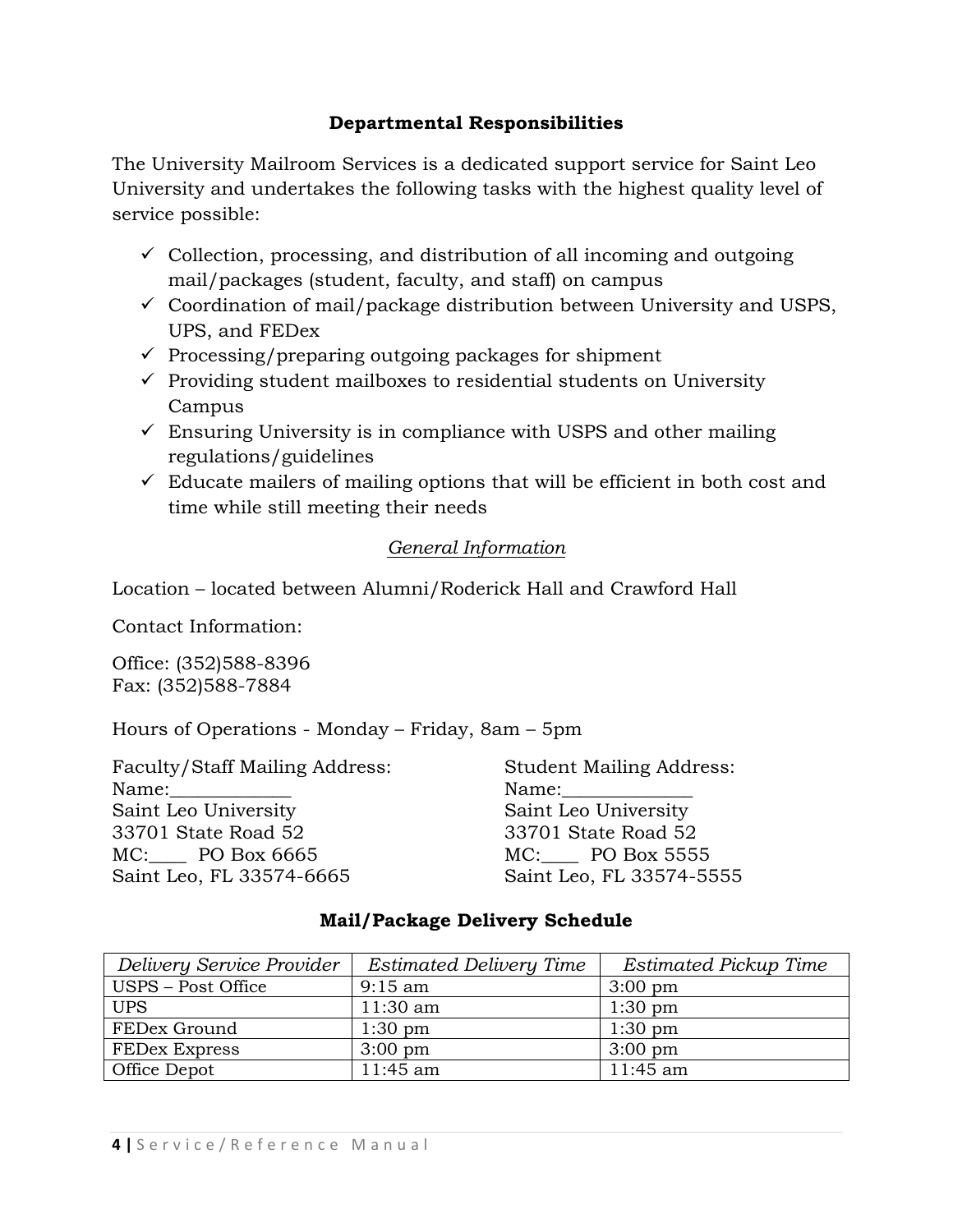### **Departmental Responsibilities**

The University Mailroom Services is a dedicated support service for Saint Leo University and undertakes the following tasks with the highest quality level of service possible:

- $\checkmark$  Collection, processing, and distribution of all incoming and outgoing mail/packages (student, faculty, and staff) on campus
- $\checkmark$  Coordination of mail/package distribution between University and USPS, UPS, and FEDex
- $\checkmark$  Processing/preparing outgoing packages for shipment
- $\checkmark$  Providing student mailboxes to residential students on University Campus
- $\checkmark$  Ensuring University is in compliance with USPS and other mailing regulations/guidelines
- $\checkmark$  Educate mailers of mailing options that will be efficient in both cost and time while still meeting their needs

### *General Information*

Location – located between Alumni/Roderick Hall and Crawford Hall

Contact Information:

Office: (352)588-8396 Fax: (352)588-7884

Hours of Operations - Monday – Friday, 8am – 5pm

Faculty/Staff Mailing Address: Student Mailing Address: Name:\_\_\_\_\_\_\_\_\_\_\_\_\_ Name:\_\_\_\_\_\_\_\_\_\_\_\_\_\_ Saint Leo University Saint Leo University 33701 State Road 52 33701 State Road 52 MC: PO Box 6665 MC: PO Box 5555 Saint Leo, FL 33574-6665 Saint Leo, FL 33574-5555

### **Mail/Package Delivery Schedule**

| Delivery Service Provider | Estimated Delivery Time | <b>Estimated Pickup Time</b> |
|---------------------------|-------------------------|------------------------------|
| USPS - Post Office        | $9:15 \text{ am}$       | $3:00 \text{ pm}$            |
| <b>UPS</b>                | $11:30$ am              | $1:30$ pm                    |
| FEDex Ground              | $1:30 \text{ pm}$       | $1:30$ pm                    |
| <b>FEDex Express</b>      | $3:00 \text{ pm}$       | $3:00 \text{ pm}$            |
| Office Depot              | 11:45 am                | 11:45 am                     |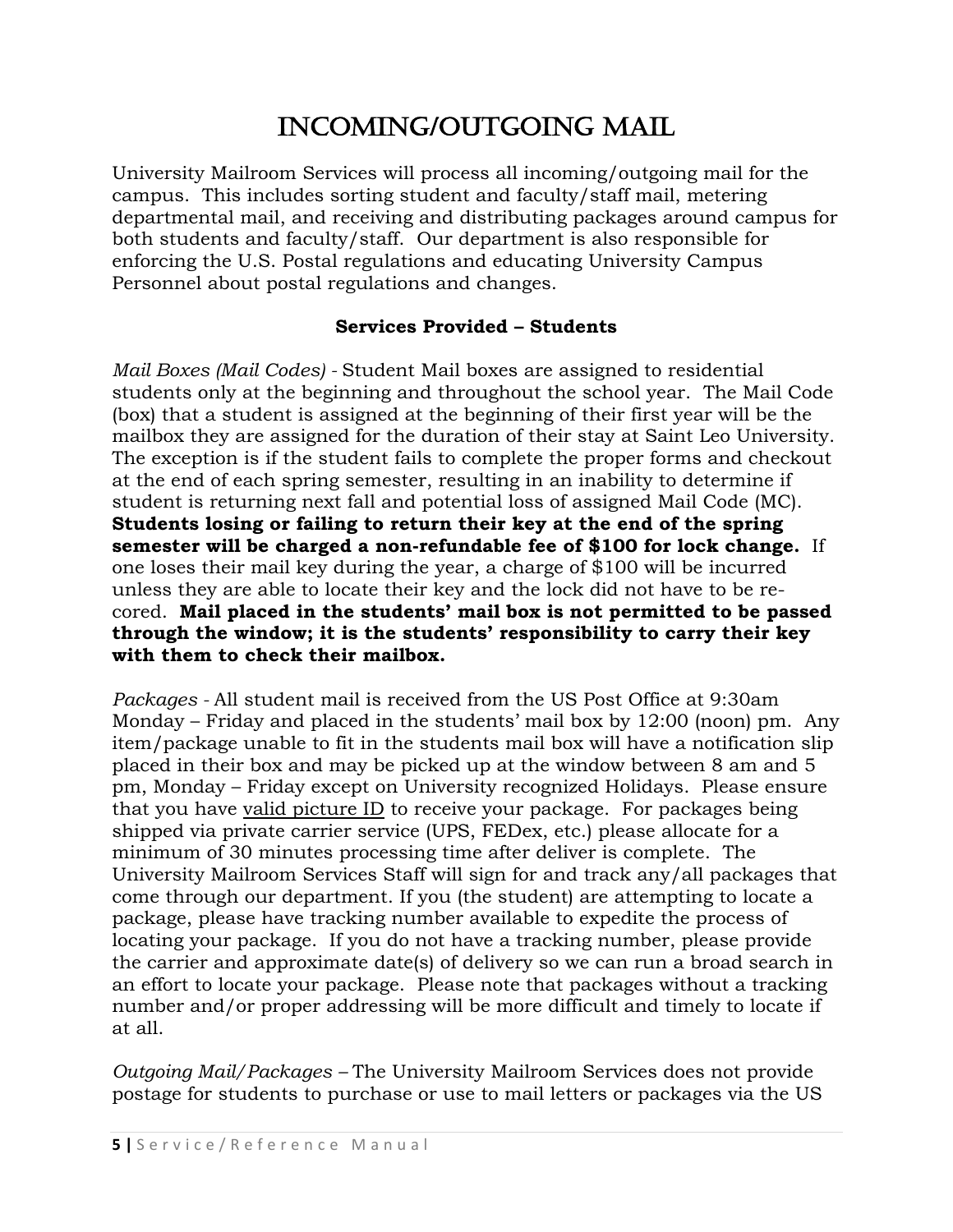# INCOMING/OUTGOING MAIL

University Mailroom Services will process all incoming/outgoing mail for the campus. This includes sorting student and faculty/staff mail, metering departmental mail, and receiving and distributing packages around campus for both students and faculty/staff. Our department is also responsible for enforcing the U.S. Postal regulations and educating University Campus Personnel about postal regulations and changes.

### **Services Provided – Students**

*Mail Boxes (Mail Codes) -* Student Mail boxes are assigned to residential students only at the beginning and throughout the school year. The Mail Code (box) that a student is assigned at the beginning of their first year will be the mailbox they are assigned for the duration of their stay at Saint Leo University. The exception is if the student fails to complete the proper forms and checkout at the end of each spring semester, resulting in an inability to determine if student is returning next fall and potential loss of assigned Mail Code (MC). **Students losing or failing to return their key at the end of the spring semester will be charged a non-refundable fee of \$100 for lock change.** If one loses their mail key during the year, a charge of \$100 will be incurred unless they are able to locate their key and the lock did not have to be recored. **Mail placed in the students' mail box is not permitted to be passed through the window; it is the students' responsibility to carry their key with them to check their mailbox.**

*Packages -* All student mail is received from the US Post Office at 9:30am Monday – Friday and placed in the students' mail box by 12:00 (noon) pm. Any item/package unable to fit in the students mail box will have a notification slip placed in their box and may be picked up at the window between 8 am and 5 pm, Monday – Friday except on University recognized Holidays. Please ensure that you have valid picture ID to receive your package. For packages being shipped via private carrier service (UPS, FEDex, etc.) please allocate for a minimum of 30 minutes processing time after deliver is complete. The University Mailroom Services Staff will sign for and track any/all packages that come through our department. If you (the student) are attempting to locate a package, please have tracking number available to expedite the process of locating your package. If you do not have a tracking number, please provide the carrier and approximate date(s) of delivery so we can run a broad search in an effort to locate your package. Please note that packages without a tracking number and/or proper addressing will be more difficult and timely to locate if at all.

*Outgoing Mail/Packages –* The University Mailroom Services does not provide postage for students to purchase or use to mail letters or packages via the US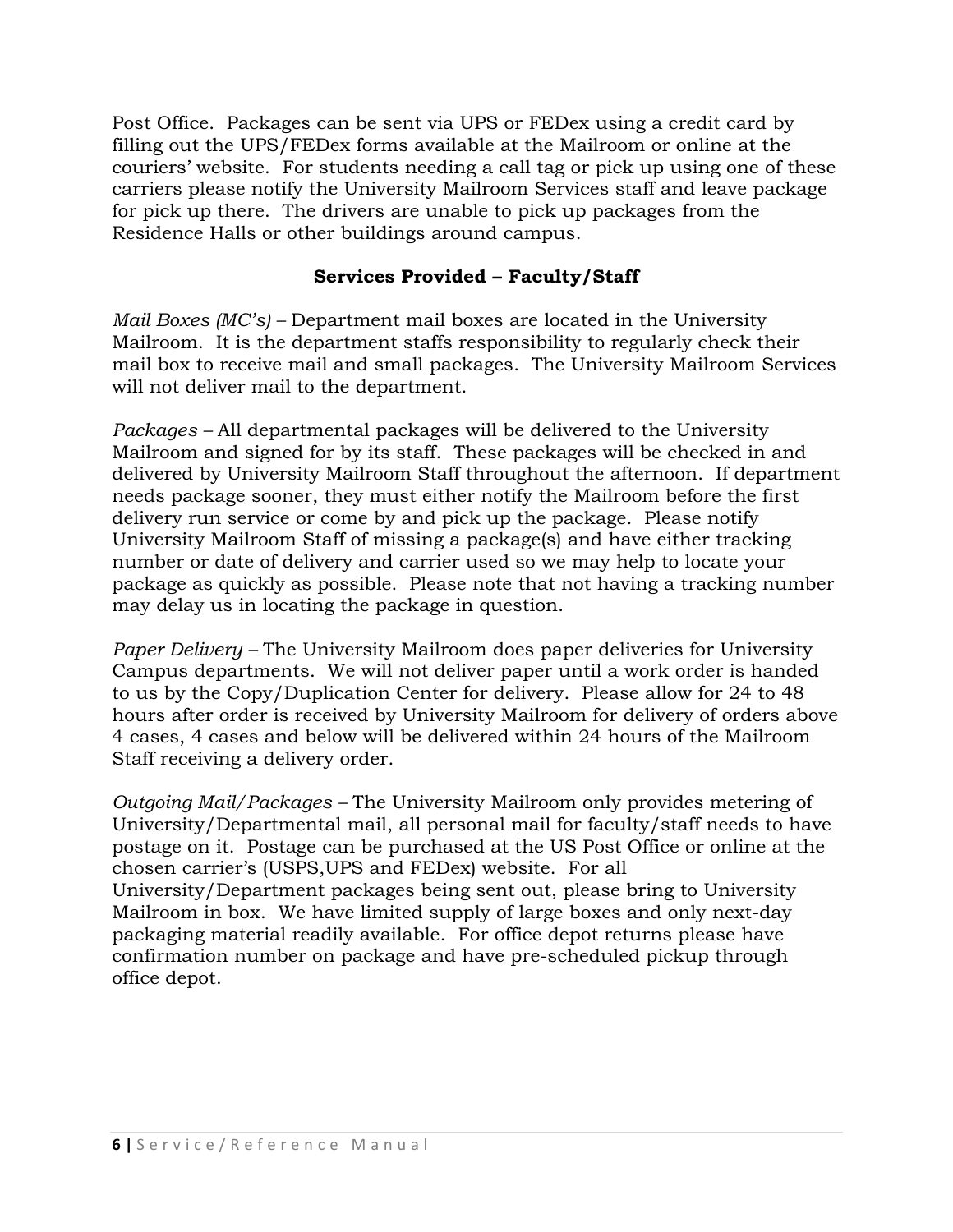Post Office. Packages can be sent via UPS or FEDex using a credit card by filling out the UPS/FEDex forms available at the Mailroom or online at the couriers' website. For students needing a call tag or pick up using one of these carriers please notify the University Mailroom Services staff and leave package for pick up there. The drivers are unable to pick up packages from the Residence Halls or other buildings around campus.

#### **Services Provided – Faculty/Staff**

*Mail Boxes (MC's) –* Department mail boxes are located in the University Mailroom. It is the department staffs responsibility to regularly check their mail box to receive mail and small packages. The University Mailroom Services will not deliver mail to the department.

*Packages –* All departmental packages will be delivered to the University Mailroom and signed for by its staff. These packages will be checked in and delivered by University Mailroom Staff throughout the afternoon. If department needs package sooner, they must either notify the Mailroom before the first delivery run service or come by and pick up the package. Please notify University Mailroom Staff of missing a package(s) and have either tracking number or date of delivery and carrier used so we may help to locate your package as quickly as possible. Please note that not having a tracking number may delay us in locating the package in question.

*Paper Delivery –* The University Mailroom does paper deliveries for University Campus departments. We will not deliver paper until a work order is handed to us by the Copy/Duplication Center for delivery. Please allow for 24 to 48 hours after order is received by University Mailroom for delivery of orders above 4 cases, 4 cases and below will be delivered within 24 hours of the Mailroom Staff receiving a delivery order.

*Outgoing Mail/Packages –* The University Mailroom only provides metering of University/Departmental mail, all personal mail for faculty/staff needs to have postage on it. Postage can be purchased at the US Post Office or online at the chosen carrier's (USPS,UPS and FEDex) website. For all University/Department packages being sent out, please bring to University Mailroom in box. We have limited supply of large boxes and only next-day packaging material readily available. For office depot returns please have confirmation number on package and have pre-scheduled pickup through office depot.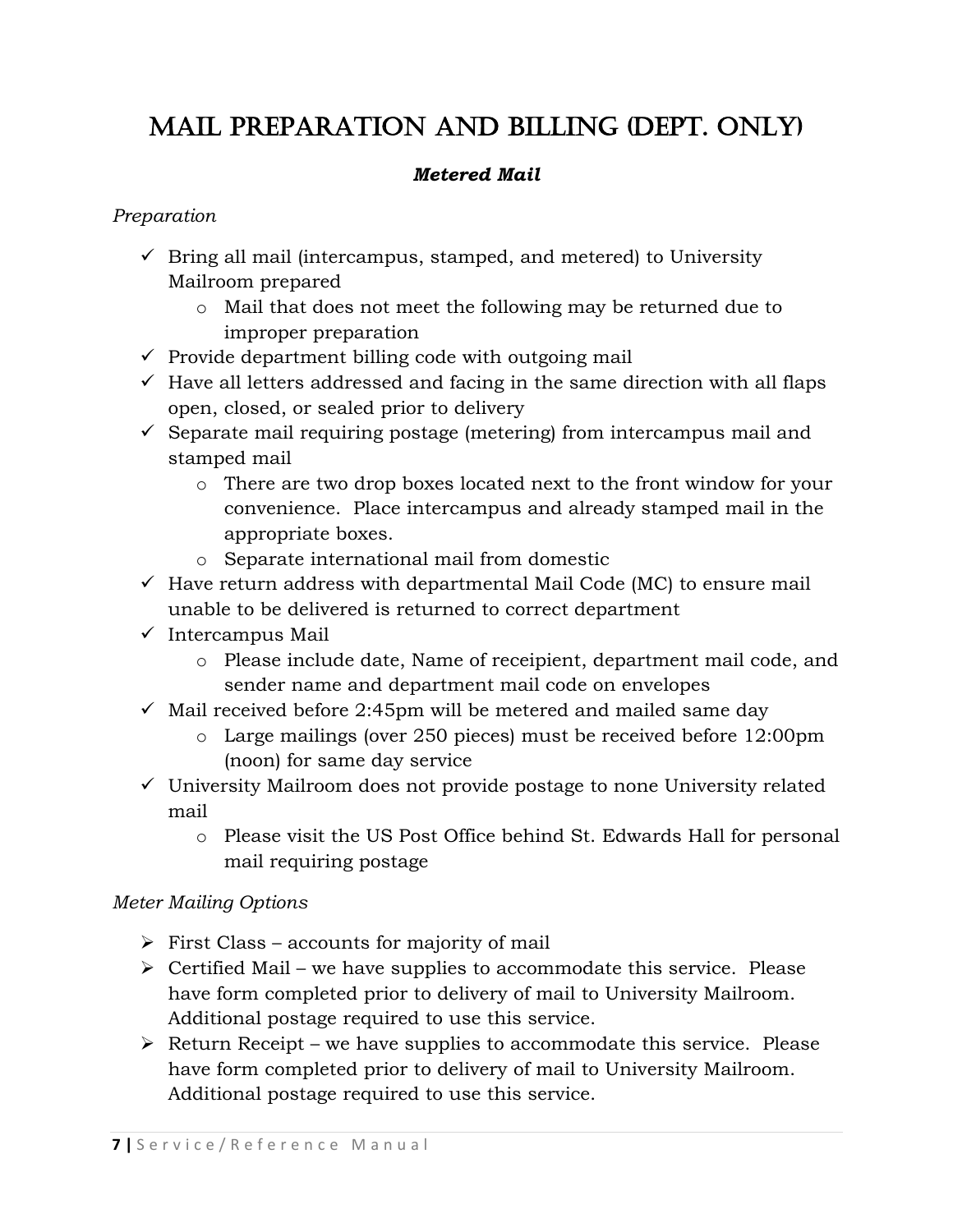# Mail preparation and Billing (dept. only)

# *Metered Mail*

# *Preparation*

- $\checkmark$  Bring all mail (intercampus, stamped, and metered) to University Mailroom prepared
	- o Mail that does not meet the following may be returned due to improper preparation
- $\checkmark$  Provide department billing code with outgoing mail
- $\checkmark$  Have all letters addressed and facing in the same direction with all flaps open, closed, or sealed prior to delivery
- $\checkmark$  Separate mail requiring postage (metering) from intercampus mail and stamped mail
	- o There are two drop boxes located next to the front window for your convenience. Place intercampus and already stamped mail in the appropriate boxes.
	- o Separate international mail from domestic
- $\checkmark$  Have return address with departmental Mail Code (MC) to ensure mail unable to be delivered is returned to correct department
- $\checkmark$  Intercampus Mail
	- o Please include date, Name of receipient, department mail code, and sender name and department mail code on envelopes
- $\checkmark$  Mail received before 2:45pm will be metered and mailed same day
	- o Large mailings (over 250 pieces) must be received before 12:00pm (noon) for same day service
- $\checkmark$  University Mailroom does not provide postage to none University related mail
	- o Please visit the US Post Office behind St. Edwards Hall for personal mail requiring postage

# *Meter Mailing Options*

- $\triangleright$  First Class accounts for majority of mail
- $\triangleright$  Certified Mail we have supplies to accommodate this service. Please have form completed prior to delivery of mail to University Mailroom. Additional postage required to use this service.
- $\triangleright$  Return Receipt we have supplies to accommodate this service. Please have form completed prior to delivery of mail to University Mailroom. Additional postage required to use this service.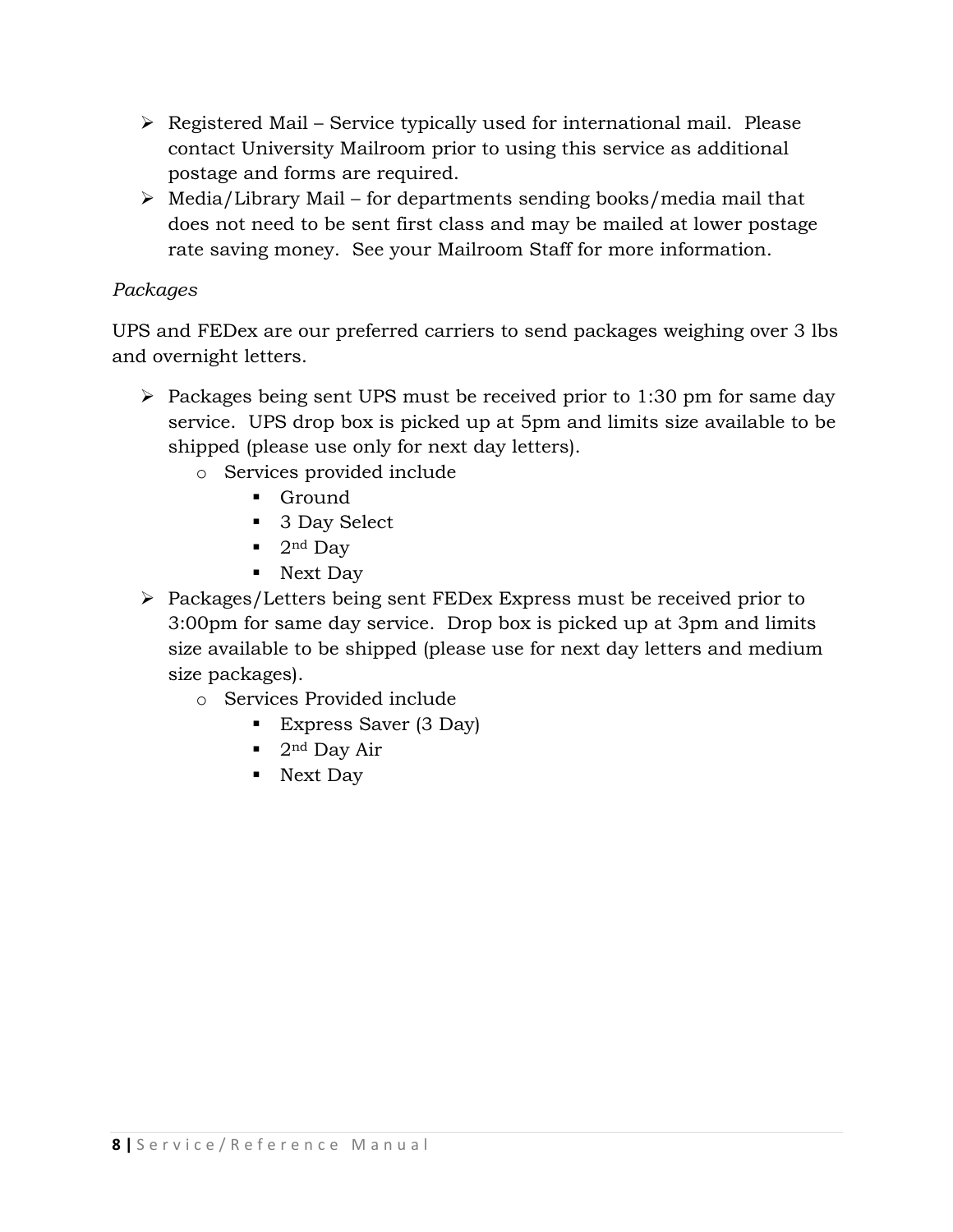- $\triangleright$  Registered Mail Service typically used for international mail. Please contact University Mailroom prior to using this service as additional postage and forms are required.
- $\triangleright$  Media/Library Mail for departments sending books/media mail that does not need to be sent first class and may be mailed at lower postage rate saving money. See your Mailroom Staff for more information.

# *Packages*

UPS and FEDex are our preferred carriers to send packages weighing over 3 lbs and overnight letters.

- $\triangleright$  Packages being sent UPS must be received prior to 1:30 pm for same day service. UPS drop box is picked up at 5pm and limits size available to be shipped (please use only for next day letters).
	- o Services provided include
		- **Ground**
		- 3 Day Select
		- $\blacksquare$  2<sup>nd</sup> Day
		- Next Day
- Packages/Letters being sent FEDex Express must be received prior to 3:00pm for same day service. Drop box is picked up at 3pm and limits size available to be shipped (please use for next day letters and medium size packages).
	- o Services Provided include
		- Express Saver (3 Day)
		- $\blacksquare$  2<sup>nd</sup> Day Air
		- Next Day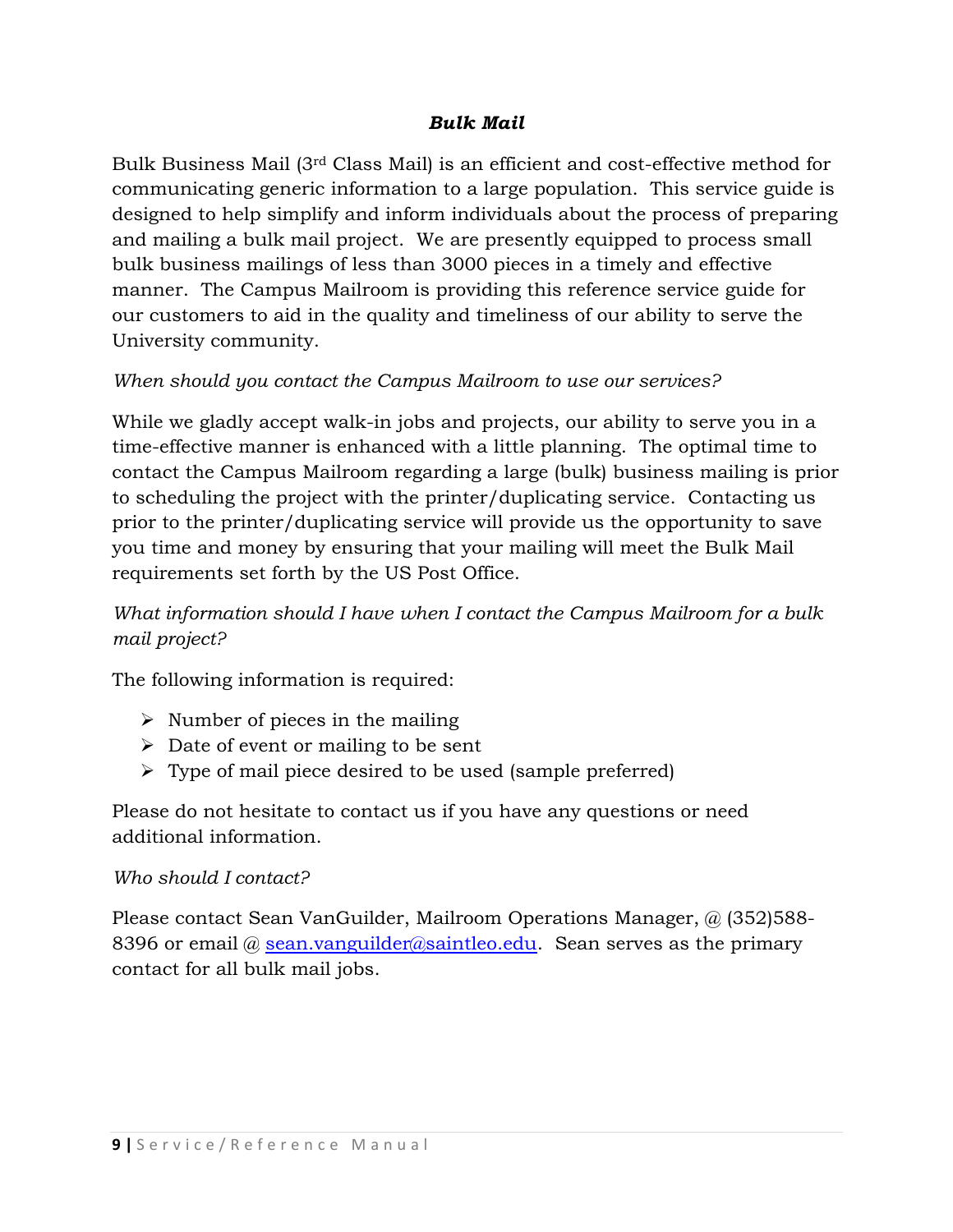### *Bulk Mail*

Bulk Business Mail (3rd Class Mail) is an efficient and cost-effective method for communicating generic information to a large population. This service guide is designed to help simplify and inform individuals about the process of preparing and mailing a bulk mail project. We are presently equipped to process small bulk business mailings of less than 3000 pieces in a timely and effective manner. The Campus Mailroom is providing this reference service guide for our customers to aid in the quality and timeliness of our ability to serve the University community.

### *When should you contact the Campus Mailroom to use our services?*

While we gladly accept walk-in jobs and projects, our ability to serve you in a time-effective manner is enhanced with a little planning. The optimal time to contact the Campus Mailroom regarding a large (bulk) business mailing is prior to scheduling the project with the printer/duplicating service. Contacting us prior to the printer/duplicating service will provide us the opportunity to save you time and money by ensuring that your mailing will meet the Bulk Mail requirements set forth by the US Post Office.

# *What information should I have when I contact the Campus Mailroom for a bulk mail project?*

The following information is required:

- $\triangleright$  Number of pieces in the mailing
- $\triangleright$  Date of event or mailing to be sent
- Type of mail piece desired to be used (sample preferred)

Please do not hesitate to contact us if you have any questions or need additional information.

### *Who should I contact?*

Please contact Sean VanGuilder, Mailroom Operations Manager, @ (352)588- 8396 or email  $\omega$  sean.vanguilder $\omega$ saintleo.edu. Sean serves as the primary contact for all bulk mail jobs.